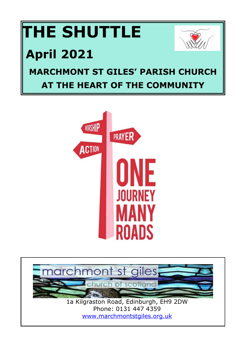# **THE SHUTTLE April 2021 MARCHMONT ST GILES' PARISH CHURCH AT THE HEART OF THE COMMUNITY**





<www.marchmontstgiles.org.uk>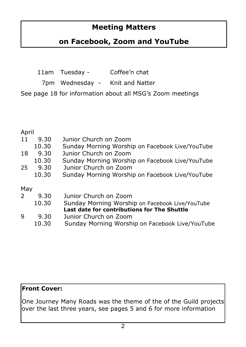## **Meeting Matters**

## **on Facebook, Zoom and YouTube**

|  | 11am Tuesday - | Coffee'n chat |
|--|----------------|---------------|
|--|----------------|---------------|

7pm Wednesday - Knit and Natter

See page 18 for information about all MSG's Zoom meetings

#### Anril

| 11            | 9.30  | Junior Church on Zoom                           |
|---------------|-------|-------------------------------------------------|
|               | 10.30 | Sunday Morning Worship on Facebook Live/YouTube |
| 18            | 9.30  | Junior Church on Zoom                           |
|               | 10.30 | Sunday Morning Worship on Facebook Live/YouTube |
| 25            | 9.30  | Junior Church on Zoom                           |
|               | 10.30 | Sunday Morning Worship on Facebook Live/YouTube |
| May           |       |                                                 |
| $\mathcal{P}$ | 9.30  | Junior Church on Zoom                           |
|               | 10.30 | Sunday Morning Worship on Facebook Live/YouTube |
|               |       | Last date for contributions for The Shuttle     |
| 9             | 9.30  | Junior Church on Zoom                           |
|               | 10.30 | Sunday Morning Worship on Facebook Live/YouTube |

#### **Front Cover:**

One Journey Many Roads was the theme of the of the Guild projects over the last three years, see pages 5 and 6 for more information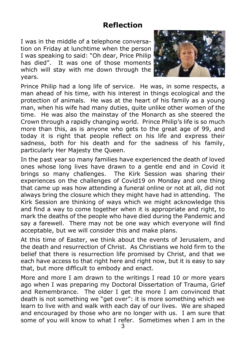#### **Reflection**

I was in the middle of a telephone conversation on Friday at lunchtime when the person I was speaking to said: "Oh dear, Price Philip has died". It was one of those moments which will stay with me down through the years.



Prince Philip had a long life of service. He was, in some respects, a man ahead of his time, with his interest in things ecological and the protection of animals. He was at the heart of his family as a young man, when his wife had many duties, quite unlike other women of the time. He was also the mainstay of the Monarch as she steered the Crown through a rapidly changing world. Prince Philip's life is so much more than this, as is anyone who gets to the great age of 99, and today it is right that people reflect on his life and express their sadness, both for his death and for the sadness of his family, particularly Her Majesty the Queen.

In the past year so many families have experienced the death of loved ones whose long lives have drawn to a gentle end and in Covid it brings so many challenges. The Kirk Session was sharing their experiences on the challenges of Covid19 on Monday and one thing that came up was how attending a funeral online or not at all, did not always bring the closure which they might have had in attending. The Kirk Session are thinking of ways which we might acknowledge this and find a way to come together when it is appropriate and right, to mark the deaths of the people who have died during the Pandemic and say a farewell. There may not be one way which everyone will find acceptable, but we will consider this and make plans.

At this time of Easter, we think about the events of Jerusalem, and the death and resurrection of Christ. As Christians we hold firm to the belief that there is resurrection life promised by Christ, and that we each have access to that right here and right now, but it is easy to say that, but more difficult to embody and enact.

More and more I am drawn to the writings I read 10 or more years ago when I was preparing my Doctoral Dissertation of Trauma, Grief and Remembrance. The older I get the more I am convinced that death is not something we "get over": it is more something which we learn to live with and walk with each day of our lives. We are shaped and encouraged by those who are no longer with us. I am sure that some of you will know to what I refer. Sometimes when I am in the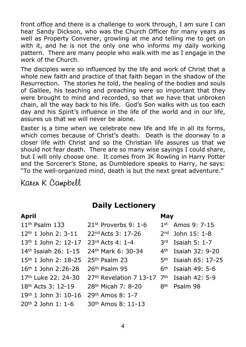front office and there is a challenge to work through, I am sure I can hear Sandy Dickson, who was the Church Officer for many years as well as Property Convener, growling at me and telling me to get on with it, and he is not the only one who informs my daily working pattern. There are many people who walk with me as I engage in the work of the Church.

The disciples were so influenced by the life and work of Christ that a whole new faith and practice of that faith began in the shadow of the Resurrection. The stories he told, the healing of the bodies and souls of Galilee, his teaching and preaching were so important that they were brought to mind and recorded, so that we have that unbroken chain, all the way back to his life. God's Son walks with us too each day and his Spirit's influence in the life of the world and in our life, assures us that we will never be alone.

Easter is a time when we celebrate new life and life in all its forms, which comes because of Christ's death. Death is the doorway to a closer life with Christ and so the Christian life assures us that we should not fear death. There are so many wise sayings I could share, but I will only choose one. It comes from JK Rowling in Harry Potter and the Sorcerer's Stone, as Dumbledore speaks to Harry, he says: "To the well-organized mind, death is but the next great adventure."

Karen K Campbell

## **Daily Lectionery**

#### **April** 11th Psalm 133 12th 1 John 2: 3-11 13th 1 John 2: 12-17 14th Isaiah 26: 1-15 15th 1 John 2: 18-25 16th 1 John 2:26-28 17th Luke 22: 24-30 18th Acts 3: 12-19 19th 1 John 3: 10-16 20th 2 John 1: 1-6 21st Proverbs 9: 1-6 22nd Acts 3: 17-26 23rd Acts 4: 1-4 24th Mark 6: 30-34 25th Psalm 23 26th Psalm 95 27<sup>th</sup> Revelation 7 13-17 7<sup>th</sup> 28th Micah 7: 8-20 29th Amos 8: 1-7 30th Amos 8: 11-13 **May** 1st Amos 9: 7-15 2nd John 15: 1-8 3rd Isaiah 5: 1-7 4th Isaiah 32: 9-20 5th Isaiah 65: 17-25  $6<sup>th</sup>$  Isaiah 49: 5-6 Isaiah  $42: 5-9$ 8th Psalm 98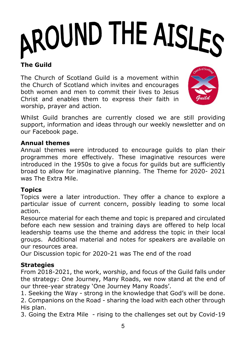# AROUND THE AISLES

## **The Guild**

The Church of Scotland Guild is a movement within the Church of Scotland which invites and encourages both women and men to commit their lives to Jesus Christ and enables them to express their faith in worship, prayer and action.



Whilst Guild branches are currently closed we are still providing support, information and ideas through our weekly newsletter and on our Facebook page.

#### **Annual themes**

Annual themes were introduced to encourage guilds to plan their programmes more effectively. These imaginative resources were introduced in the 1950s to give a focus for guilds but are sufficiently broad to allow for imaginative planning. The Theme for 2020- 2021 was The Extra Mile.

#### **Topics**

Topics were a later introduction. They offer a chance to explore a particular issue of current concern, possibly leading to some local action.

Resource material for each theme and topic is prepared and circulated before each new session and training days are offered to help local leadership teams use the theme and address the topic in their local groups. Additional material and notes for speakers are available on our resources area.

Our Discussion topic for 2020-21 was The end of the road

#### **Strategies**

From 2018-2021, the work, worship, and focus of the Guild falls under the strategy: One Journey, Many Roads, we now stand at the end of our three-year strategy 'One Journey Many Roads'.

1. Seeking the Way - strong in the knowledge that God's will be done.

2. Companions on the Road - sharing the load with each other through His plan.

3. Going the Extra Mile - rising to the challenges set out by Covid-19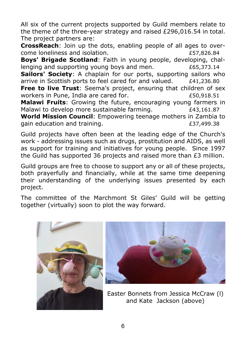All six of the current projects supported by Guild members relate to the theme of the three-year strategy and raised £296,016.54 in total. The project partners are:

**CrossReach**: Join up the dots, enabling people of all ages to overcome loneliness and isolation. £57,826.84

**Boys' Brigade Scotland**: Faith in young people, developing, challenging and supporting young boys and men.  $£65,373.14$ 

**Sailors' Society**: A chaplain for our ports, supporting sailors who arrive in Scottish ports to feel cared for and valued.  $E41.236.80$ **Free to live Trust**: Seema's project, ensuring that children of sex

workers in Pune, India are cared for. 650.918.51 **Malawi Fruits**: Growing the future, encouraging young farmers in Malawi to develop more sustainable farming.  $E43.161.87$ 

**World Mission Council**: Empowering teenage mothers in Zambia to gain education and training. The same state of the state of the state of the state of the state of the state o

Guild projects have often been at the leading edge of the Church's work - addressing issues such as drugs, prostitution and AIDS, as well as support for training and initiatives for young people. Since 1997 the Guild has supported 36 projects and raised more than £3 million.

Guild groups are free to choose to support any or all of these projects, both prayerfully and financially, while at the same time deepening their understanding of the underlying issues presented by each project.

The committee of the Marchmont St Giles' Guild will be getting together (virtually) soon to plot the way forward.





Easter Bonnets from Jessica McCraw (l) and Kate Jackson (above)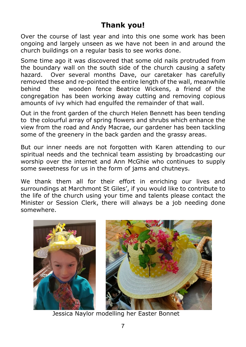## **Thank you!**

Over the course of last year and into this one some work has been ongoing and largely unseen as we have not been in and around the church buildings on a regular basis to see works done.

Some time ago it was discovered that some old nails protruded from the boundary wall on the south side of the church causing a safety hazard. Over several months Dave, our caretaker has carefully removed these and re-pointed the entire length of the wall, meanwhile behind the wooden fence Beatrice Wickens, a friend of the congregation has been working away cutting and removing copious amounts of ivy which had engulfed the remainder of that wall.

Out in the front garden of the church Helen Bennett has been tending to the colourful array of spring flowers and shrubs which enhance the view from the road and Andy Macrae, our gardener has been tackling some of the greenery in the back garden and the grassy areas.

But our inner needs are not forgotten with Karen attending to our spiritual needs and the technical team assisting by broadcasting our worship over the internet and Ann McGhie who continues to supply some sweetness for us in the form of jams and chutneys.

We thank them all for their effort in enriching our lives and surroundings at Marchmont St Giles', if you would like to contribute to the life of the church using your time and talents please contact the Minister or Session Clerk, there will always be a job needing done somewhere.



Jessica Naylor modelling her Easter Bonnet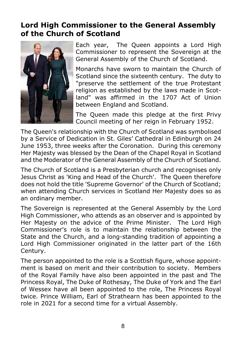## **Lord High Commissioner to the General Assembly of the Church of Scotland**



Each year, The Queen appoints a Lord High Commissioner to represent the Sovereign at the General Assembly of the Church of Scotland.

Monarchs have sworn to maintain the Church of Scotland since the sixteenth century. The duty to "preserve the settlement of the true Protestant religion as established by the laws made in Scotland" was affirmed in the 1707 Act of Union between England and Scotland.

The Queen made this pledge at the first Privy Council meeting of her reign in February 1952.

The Queen's relationship with the Church of Scotland was symbolised by a Service of Dedication in St. Giles' Cathedral in Edinburgh on 24 June 1953, three weeks after the Coronation. During this ceremony Her Majesty was blessed by the Dean of the Chapel Royal in Scotland and the Moderator of the General Assembly of the Church of Scotland.

The Church of Scotland is a Presbyterian church and recognises only Jesus Christ as 'King and Head of the Church'. The Queen therefore does not hold the title 'Supreme Governor' of the Church of Scotland; when attending Church services in Scotland Her Majesty does so as an ordinary member.

The Sovereign is represented at the General Assembly by the Lord High Commissioner, who attends as an observer and is appointed by Her Majesty on the advice of the Prime Minister. The Lord High Commissioner's role is to maintain the relationship between the State and the Church, and a long-standing tradition of appointing a Lord High Commissioner originated in the latter part of the 16th Century.

The person appointed to the role is a Scottish figure, whose appointment is based on merit and their contribution to society. Members of the Royal Family have also been appointed in the past and The Princess Royal, The Duke of Rothesay, The Duke of York and The Earl of Wessex have all been appointed to the role, The Princess Royal twice. Prince William, Earl of Strathearn has been appointed to the role in 2021 for a second time for a virtual Assembly.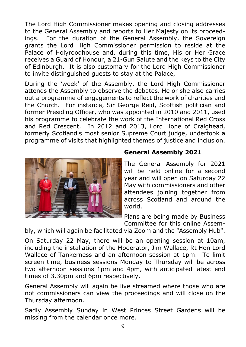The Lord High Commissioner makes opening and closing addresses to the General Assembly and reports to Her Majesty on its proceedings. For the duration of the General Assembly, the Sovereign grants the Lord High Commissioner permission to reside at the Palace of Holyroodhouse and, during this time, His or Her Grace receives a Guard of Honour, a 21-Gun Salute and the keys to the City of Edinburgh. It is also customary for the Lord High Commissioner to invite distinguished guests to stay at the Palace,

During the 'week' of the Assembly, the Lord High Commissioner attends the Assembly to observe the debates. He or she also carries out a programme of engagements to reflect the work of charities and the Church. For instance, Sir George Reid, Scottish politician and former Presiding Officer, who was appointed in 2010 and 2011, used his programme to celebrate the work of the International Red Cross and Red Crescent. In 2012 and 2013, Lord Hope of Craighead, formerly Scotland's most senior Supreme Court judge, undertook a programme of visits that highlighted themes of justice and inclusion.



#### **General Assembly 2021**

The General Assembly for 2021 will be held online for a second year and will open on Saturday 22 May with commissioners and other attendees joining together from across Scotland and around the world.

Plans are being made by Business Committee for this online Assem-

bly, which will again be facilitated via Zoom and the "Assembly Hub".

On Saturday 22 May, there will be an opening session at 10am, including the installation of the Moderator, Jim Wallace, Rt Hon Lord Wallace of Tankerness and an afternoon session at 1pm. To limit screen time, business sessions Monday to Thursday will be across two afternoon sessions 1pm and 4pm, with anticipated latest end times of 3.30pm and 6pm respectively.

General Assembly will again be live streamed where those who are not commissioners can view the proceedings and will close on the Thursday afternoon.

Sadly Assembly Sunday in West Princes Street Gardens will be missing from the calendar once more.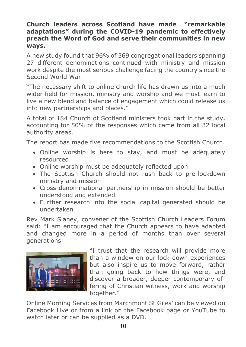#### **Church leaders across Scotland have made "remarkable adaptations" during the COVID-19 pandemic to effectively preach the Word of God and serve their communities in new ways.**

A new study found that 96% of 369 congregational leaders spanning 27 different denominations continued with ministry and mission work despite the most serious challenge facing the country since the Second World War.

"The necessary shift to online church life has drawn us into a much wider field for mission, ministry and worship and we must learn to live a new blend and balance of engagement which could release us into new partnerships and places."

A total of 184 Church of Scotland ministers took part in the study, accounting for 50% of the responses which came from all 32 local authority areas.

The report has made five recommendations to the Scottish Church.

- �� Online worship is here to stay, and must be adequately resourced
- Online worship must be adequately reflected upon
- The Scottish Church should not rush back to pre-lockdown ministry and mission
- �� Cross-denominational partnership in mission should be better understood and extended
- �� Further research into the social capital generated should be undertaken

Rev Mark Slaney, convener of the Scottish Church Leaders Forum said: "I am encouraged that the Church appears to have adapted and changed more in a period of months than over several generations.



"I trust that the research will provide more than a window on our lock-down experiences but also inspire us to move forward, rather than going back to how things were, and discover a broader, deeper contemporary offering of Christian witness, work and worship together."

Online Morning Services from Marchmont St Giles' can be viewed on Facebook Live or from a link on the Facebook page or YouTube to watch later or can be supplied as a DVD.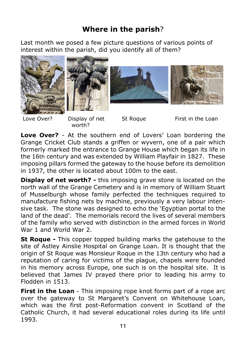## **Where in the parish**?

Last month we posed a few picture questions of various points of interest within the parish, did you identify all of them?







worth?

Love Over? Display of net St Roque First in the Loan

**Love Over?** - At the southern end of Lovers' Loan bordering the Grange Cricket Club stands a griffen or wyvern, one of a pair which formerly marked the entrance to Grange House which began its life in the 16th century and was extended by William Playfair in 1827. These imposing pillars formed the gateway to the house before its demolition in 1937, the other is located about 100m to the east.

**Display of net worth?** - this imposing grave stone is located on the north wall of the Grange Cemetery and is in memory of William Stuart of Musselburgh whose family perfected the techniques required to manufacture fishing nets by machine, previously a very labour intensive task. The stone was designed to echo the 'Egyptian portal to the land of the dead'. The memorials record the lives of several members of the family who served with distinction in the armed forces in World War 1 and World War 2.

**St Roque -** This copper topped building marks the gatehouse to the site of Astley Ainslie Hospital on Grange Loan. It is thought that the origin of St Roque was Monsieur Roque in the 13th century who had a reputation of caring for victims of the plague, chapels were founded in his memory across Europe, one such is on the hospital site. It is believed that James IV prayed there prior to leading his army to Flodden in 1513.

**First in the Loan** - This imposing rope knot forms part of a rope arc over the gateway to St Margaret's Convent on Whitehouse Loan, which was the first post-Reformation convent in Scotland of the Catholic Church, it had several educational roles during its life until 1993.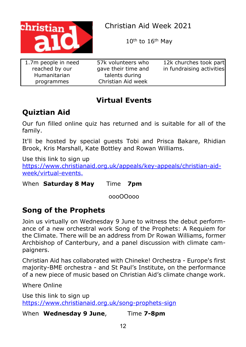

Christian Aid Week 2021

10th to 16th May

| 1.7m people in need<br>reached by our | 57k volunteers who<br>gave their time and | 12k churches took part<br>in fundraising activities |
|---------------------------------------|-------------------------------------------|-----------------------------------------------------|
| Humanitarian                          | talents during                            |                                                     |
| programmes                            | Christian Aid week                        |                                                     |

## **Virtual Events**

## **Quiztian Aid**

Our fun filled online quiz has returned and is suitable for all of the family.

It'll be hosted by special guests Tobi and Prisca Bakare, Rhidian Brook, Kris Marshall, Kate Bottley and Rowan Williams.

Use this link to sign up [https://www.christianaid.org.uk/appeals/key-appeals/christian-aid]( https://www.christianaid.org.uk/appeals/key-appeals/christian-aid-week/virtual-events. )[week/virtual-events.]( https://www.christianaid.org.uk/appeals/key-appeals/christian-aid-week/virtual-events. )

When **Saturday 8 May** Time **7pm**

oooOOooo

## **Song of the Prophets**

Join us virtually on Wednesday 9 June to witness the debut performance of a new orchestral work Song of the Prophets: A Requiem for the Climate. There will be an address from Dr Rowan Williams, former Archbishop of Canterbury, and a panel discussion with climate campaigners.

Christian Aid has collaborated with Chineke! Orchestra - Europe's first majority-BME orchestra - and St Paul's Institute, on the performance of a new piece of music based on Christian Aid's climate change work.

Where Online

Use this link to sign up <https://www.christianaid.org.uk/song-prophets-sign>

When **Wednesday 9 June**, Time **7-8pm**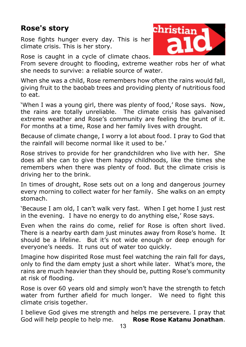## **Rose's story**

Rose fights hunger every day. This is her climate crisis. This is her story.

Rose is caught in a cycle of climate chaos.

From severe drought to flooding, extreme weather robs her of what she needs to survive: a reliable source of water.

When she was a child, Rose remembers how often the rains would fall, giving fruit to the baobab trees and providing plenty of nutritious food to eat.

'When I was a young girl, there was plenty of food,' Rose says. Now, the rains are totally unreliable. The climate crisis has galvanised extreme weather and Rose's community are feeling the brunt of it. For months at a time, Rose and her family lives with drought.

Because of climate change, I worry a lot about food. I pray to God that the rainfall will become normal like it used to be.'

Rose strives to provide for her grandchildren who live with her. She does all she can to give them happy childhoods, like the times she remembers when there was plenty of food. But the climate crisis is driving her to the brink.

In times of drought, Rose sets out on a long and dangerous journey every morning to collect water for her family. She walks on an empty stomach.

'Because I am old, I can't walk very fast. When I get home I just rest in the evening. I have no energy to do anything else,' Rose says.

Even when the rains do come, relief for Rose is often short lived. There is a nearby earth dam just minutes away from Rose's home. It should be a lifeline. But it's not wide enough or deep enough for everyone's needs. It runs out of water too quickly.

Imagine how dispirited Rose must feel watching the rain fall for days, only to find the dam empty just a short while later. What's more, the rains are much heavier than they should be, putting Rose's community at risk of flooding.

Rose is over 60 years old and simply won't have the strength to fetch water from further afield for much longer. We need to fight this climate crisis together.

13 I believe God gives me strength and helps me persevere. I pray that God will help people to help me. **Rose Rose Katanu Jonathan**.

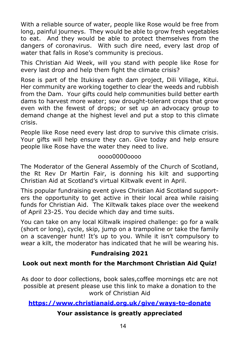With a reliable source of water, people like Rose would be free from long, painful journeys. They would be able to grow fresh vegetables to eat. And they would be able to protect themselves from the dangers of coronavirus. With such dire need, every last drop of water that falls in Rose's community is precious.

This Christian Aid Week, will you stand with people like Rose for every last drop and help them fight the climate crisis?

Rose is part of the Itukisya earth dam project, Dili Village, Kitui. Her community are working together to clear the weeds and rubbish from the Dam. Your gifts could help communities build better earth dams to harvest more water; sow drought-tolerant crops that grow even with the fewest of drops; or set up an advocacy group to demand change at the highest level and put a stop to this climate crisis.

People like Rose need every last drop to survive this climate crisis. Your gifts will help ensure they can. Give today and help ensure people like Rose have the water they need to live.

#### oooo0000oooo

The Moderator of the General Assembly of the Church of Scotland, the Rt Rev Dr Martin Fair, is donning his kilt and supporting Christian Aid at Scotland's virtual Kiltwalk event in April.

This popular fundraising event gives Christian Aid Scotland supporters the opportunity to get active in their local area while raising funds for Christian Aid. The Kiltwalk takes place over the weekend of April 23-25. You decide which day and time suits.

You can take on any local Kiltwalk inspired challenge: go for a walk (short or long), cycle, skip, jump on a trampoline or take the family on a scavenger hunt! It's up to you. While it isn't compulsory to wear a kilt, the moderator has indicated that he will be wearing his.

#### **Fundraising 2021**

#### **Look out next month for the Marchmont Christian Aid Quiz!**

As door to door collections, book sales,coffee mornings etc are not possible at present please use this link to make a donation to the work of Christian Aid

#### **<https://www.christianaid.org.uk/give/ways-to-donate>**

#### **Your assistance is greatly appreciated**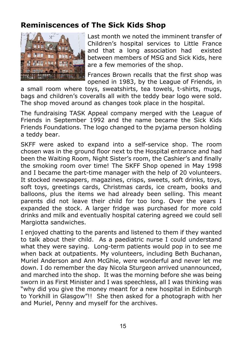## **Reminiscences of The Sick Kids Shop**



Last month we noted the imminent transfer of Children's hospital services to Little France and that a long association had existed between members of MSG and Sick Kids, here are a few memories of the shop.

Frances Brown recalls that the first shop was opened in 1983, by the League of Friends, in

a small room where toys, sweatshirts, tea towels, t-shirts, mugs, bags and children's coveralls all with the teddy bear logo were sold. The shop moved around as changes took place in the hospital.

The fundraising TASK Appeal company merged with the League of Friends in September 1992 and the name became the Sick Kids Friends Foundations. The logo changed to the pyjama person holding a teddy bear.

SKFF were asked to expand into a self-service shop. The room chosen was in the ground floor next to the Hospital entrance and had been the Waiting Room, Night Sister's room, the Cashier's and finally the smoking room over time! The SKFF Shop opened in May 1998 and I became the part-time manager with the help of 20 volunteers. It stocked newspapers, magazines, crisps, sweets, soft drinks, toys, soft toys, greetings cards, Christmas cards, ice cream, books and balloons, plus the items we had already been selling. This meant parents did not leave their child for too long. Over the years I expanded the stock. A larger fridge was purchased for more cold drinks and milk and eventually hospital catering agreed we could sell Margiotta sandwiches.

I enjoyed chatting to the parents and listened to them if they wanted to talk about their child. As a paediatric nurse I could understand what they were saying. Long-term patients would pop in to see me when back at outpatients. My volunteers, including Beth Buchanan, Muriel Anderson and Ann McGhie, were wonderful and never let me down. I do remember the day Nicola Sturgeon arrived unannounced, and marched into the shop. It was the morning before she was being sworn in as First Minister and I was speechless, all I was thinking was "why did you give the money meant for a new hospital in Edinburgh to Yorkhill in Glasgow"!! She then asked for a photograph with her and Muriel, Penny and myself for the archives.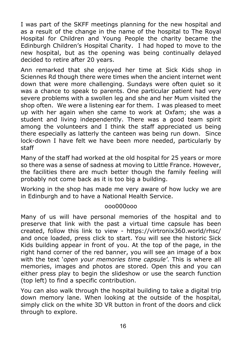I was part of the SKFF meetings planning for the new hospital and as a result of the change in the name of the hospital to The Royal Hospital for Children and Young People the charity became the Edinburgh Children's Hospital Charity. I had hoped to move to the new hospital, but as the opening was being continually delayed decided to retire after 20 years.

Ann remarked that she enjoyed her time at Sick Kids shop in Sciennes Rd though there were times when the ancient internet went down that were more challenging. Sundays were often quiet so it was a chance to speak to parents. One particular patient had very severe problems with a swollen leg and she and her Mum visited the shop often. We were a listening ear for them. I was pleased to meet up with her again when she came to work at Oxfam; she was a student and living independently. There was a good team spirit among the volunteers and I think the staff appreciated us being there especially as latterly the canteen was being run down. Since lock-down I have felt we have been more needed, particularly by staff

Many of the staff had worked at the old hospital for 25 years or more so there was a sense of sadness at moving to Little France. However, the facilities there are much better though the family feeling will probably not come back as it is too big a building.

Working in the shop has made me very aware of how lucky we are in Edinburgh and to have a National Health Service.

#### ooo000ooo

Many of us will have personal memories of the hospital and to preserve that link with the past a virtual time capsule has been created, follow this link to view - https://virtronix360.world/rhsc/ and once loaded, press click to start. You will see the historic Sick Kids building appear in front of you. At the top of the page, in the right hand corner of the red banner, you will see an image of a box with the text '*open your memories time capsule'*. This is where all memories, images and photos are stored. Open this and you can either press play to begin the slideshow or use the search function (top left) to find a specific contribution.

You can also walk through the hospital building to take a digital trip down memory lane. When looking at the outside of the hospital, simply click on the white 3D VR button in front of the doors and click through to explore.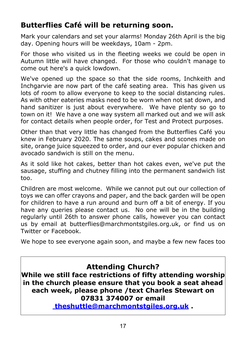## **Butterflies Café will be returning soon.**

Mark your calendars and set your alarms! Monday 26th April is the big day. Opening hours will be weekdays, 10am - 2pm.

For those who visited us in the fleeting weeks we could be open in Autumn little will have changed. For those who couldn't manage to come out here's a quick lowdown.

We've opened up the space so that the side rooms, Inchkeith and Inchgarvie are now part of the café seating area. This has given us lots of room to allow everyone to keep to the social distancing rules. As with other eateries masks need to be worn when not sat down, and hand sanitizer is just about everywhere. We have plenty so go to town on it! We have a one way system all marked out and we will ask for contact details when people order, for Test and Protect purposes.

Other than that very little has changed from the Butterflies Café you knew in February 2020. The same soups, cakes and scones made on site, orange juice squeezed to order, and our ever popular chicken and avocado sandwich is still on the menu.

As it sold like hot cakes, better than hot cakes even, we've put the sausage, stuffing and chutney filling into the permanent sandwich list too.

Children are most welcome. While we cannot put out our collection of toys we can offer crayons and paper, and the back garden will be open for children to have a run around and burn off a bit of energy. If you have any queries please contact us. No one will be in the building regularly until 26th to answer phone calls, however you can contact us by email at butterflies@marchmontstgiles.org.uk, or find us on Twitter or Facebook.

We hope to see everyone again soon, and maybe a few new faces too

## **Attending Church?**

**While we still face restrictions of fifty attending worship in the church please ensure that you book a seat ahead each week, please phone /text Charles Stewart on 07831 374007 or email**

 **[theshuttle@marchmontstgiles.org.uk](mailto:theshuttle@marchmontstgiles.org.uk) .**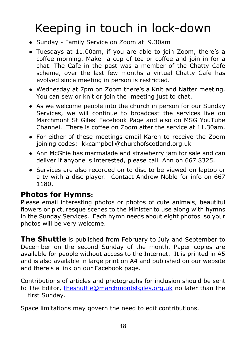## Keeping in touch in lock-down

- Sunday Family Service on Zoom at 9.30am
- Tuesdays at 11.00am, if you are able to join Zoom, there's a coffee morning. Make a cup of tea or coffee and join in for a chat. The Cafe in the past was a member of the Chatty Cafe scheme, over the last few months a virtual Chatty Cafe has evolved since meeting in person is restricted.
- Wednesday at 7pm on Zoom there's a Knit and Natter meeting. You can sew or knit or join the meeting just to chat.
- As we welcome people into the church in person for our Sunday Services, we will continue to broadcast the services live on Marchmont St Giles' Facebook Page and also on MSG YouTube Channel. There is coffee on Zoom after the service at 11.30am.
- For either of these meetings email Karen to receive the Zoom joining codes: kkcampbell@churchofscotland.org.uk
- Ann McGhie has marmalade and strawberry jam for sale and can deliver if anyone is interested, please call Ann on 667 8325.
- Services are also recorded on to disc to be viewed on laptop or a tv with a disc player. Contact Andrew Noble for info on 667 1180.

#### **Photos for Hymns:**

Please email interesting photos or photos of cute animals, beautiful flowers or picturesque scenes to the Minister to use along with hymns in the Sunday Services. Each hymn needs about eight photos so your photos will be very welcome.

**The Shuttle** is published from February to July and September to December on the second Sunday of the month. Paper copies are available for people without access to the Internet. It is printed in A5 and is also available in large print on A4 and published on our website and there's a link on our Facebook page.

Contributions of articles and photographs for inclusion should be sent to The Editor, [theshuttle@marchmontstgiles.org.uk](mailto:theshuttle@marchmontstgiles.org.uk) no later than the first Sunday.

Space limitations may govern the need to edit contributions.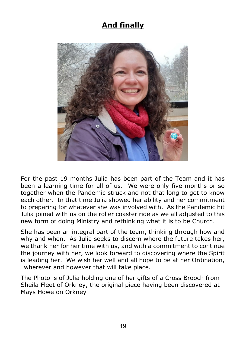## **And finally**



For the past 19 months Julia has been part of the Team and it has been a learning time for all of us. We were only five months or so together when the Pandemic struck and not that long to get to know each other. In that time Julia showed her ability and her commitment to preparing for whatever she was involved with. As the Pandemic hit Julia joined with us on the roller coaster ride as we all adjusted to this new form of doing Ministry and rethinking what it is to be Church.

She has been an integral part of the team, thinking through how and why and when. As Julia seeks to discern where the future takes her, we thank her for her time with us, and with a commitment to continue the journey with her, we look forward to discovering where the Spirit is leading her. We wish her well and all hope to be at her Ordination, wherever and however that will take place.

The Photo is of Julia holding one of her gifts of a Cross Brooch from Sheila Fleet of Orkney, the original piece having been discovered at Mays Howe on Orkney